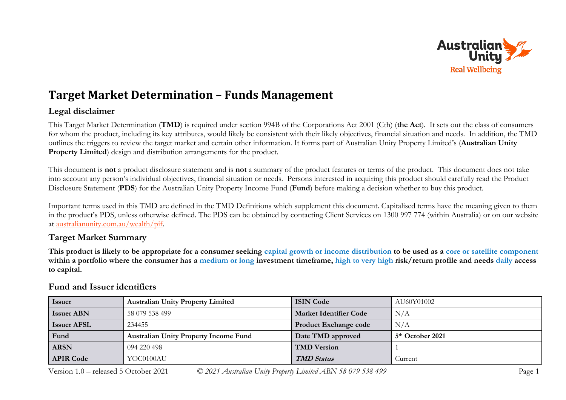

## **Target Market Determination – Funds Management**

## **Legal disclaimer**

This Target Market Determination (**TMD**) is required under section 994B of the Corporations Act 2001 (Cth) (**the Act**). It sets out the class of consumers for whom the product, including its key attributes, would likely be consistent with their likely objectives, financial situation and needs. In addition, the TMD outlines the triggers to review the target market and certain other information. It forms part of Australian Unity Property Limited's (**Australian Unity Property Limited**) design and distribution arrangements for the product.

This document is **not** a product disclosure statement and is **not** a summary of the product features or terms of the product. This document does not take into account any person's individual objectives, financial situation or needs. Persons interested in acquiring this product should carefully read the Product Disclosure Statement (**PDS**) for the Australian Unity Property Income Fund (**Fund**) before making a decision whether to buy this product.

Important terms used in this TMD are defined in the TMD Definitions which supplement this document. Capitalised terms have the meaning given to them in the product's PDS, unless otherwise defined. The PDS can be obtained by contacting Client Services on 1300 997 774 (within Australia) or on our website at [australianunity.com.au/wealth/pif.](https://www.australianunity.com.au/wealth/~/media/publicsite/documents/funds/australianunity/pif-whole/pds.ashx)

## **Target Market Summary**

**This product is likely to be appropriate for a consumer seeking capital growth or income distribution to be used as a core or satellite component within a portfolio where the consumer has a medium or long investment timeframe, high to very high risk/return profile and needs daily access to capital.**

| <b>Issuer</b>      | <b>Australian Unity Property Limited</b>     | <b>ISIN Code</b>              | AU60Y01002                   |
|--------------------|----------------------------------------------|-------------------------------|------------------------------|
| <b>Issuer ABN</b>  | 58 079 538 499                               | <b>Market Identifier Code</b> | N/A                          |
| <b>Issuer AFSL</b> | 234455                                       | <b>Product Exchange code</b>  | N/A                          |
| Fund               | <b>Australian Unity Property Income Fund</b> | Date TMD approved             | 5 <sup>th</sup> October 2021 |
| <b>ARSN</b>        | 094 220 498                                  | <b>TMD Version</b>            |                              |
| <b>APIR Code</b>   | YOC0100AU                                    | <b>TMD Status</b>             | Current                      |

## **Fund and Issuer identifiers**

Version 1.0 – released 5 October 2021 *© 2021 Australian Unity Property Limited ABN 58 079 538 499* Page 1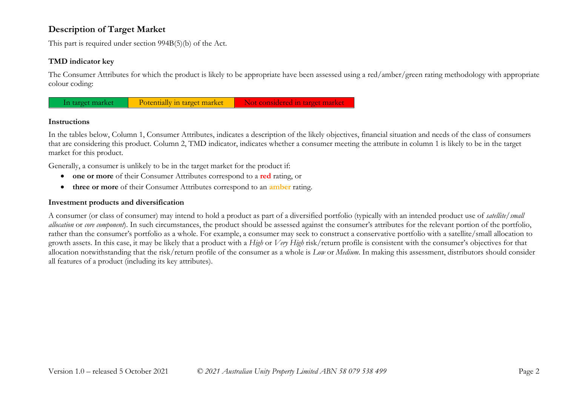## **Description of Target Market**

This part is required under section 994B(5)(b) of the Act.

#### **TMD indicator key**

The Consumer Attributes for which the product is likely to be appropriate have been assessed using a red/amber/green rating methodology with appropriate colour coding:



#### **Instructions**

In the tables below, Column 1, Consumer Attributes, indicates a description of the likely objectives, financial situation and needs of the class of consumers that are considering this product. Column 2, TMD indicator, indicates whether a consumer meeting the attribute in column 1 is likely to be in the target market for this product.

Generally, a consumer is unlikely to be in the target market for the product if:

- **one or more** of their Consumer Attributes correspond to a **red** rating, or
- **three or more** of their Consumer Attributes correspond to an **amber** rating.

#### **Investment products and diversification**

A consumer (or class of consumer) may intend to hold a product as part of a diversified portfolio (typically with an intended product use of *satellite/small allocation* or *core component*). In such circumstances, the product should be assessed against the consumer's attributes for the relevant portion of the portfolio, rather than the consumer's portfolio as a whole. For example, a consumer may seek to construct a conservative portfolio with a satellite/small allocation to growth assets. In this case, it may be likely that a product with a *High* or *Very High* risk/return profile is consistent with the consumer's objectives for that allocation notwithstanding that the risk/return profile of the consumer as a whole is *Low* or *Medium*. In making this assessment, distributors should consider all features of a product (including its key attributes).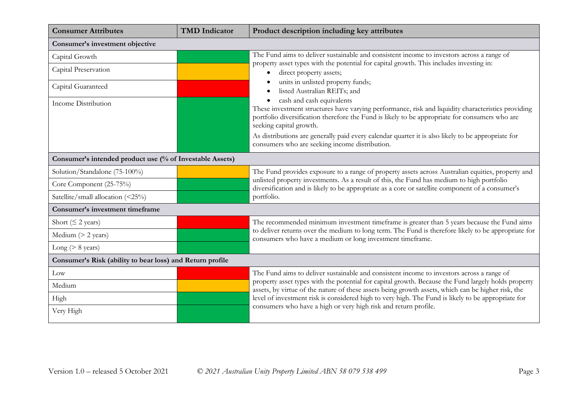| <b>Consumer Attributes</b>                                | <b>TMD</b> Indicator | Product description including key attributes                                                                                                                                                                                                                                                                                                                            |  |
|-----------------------------------------------------------|----------------------|-------------------------------------------------------------------------------------------------------------------------------------------------------------------------------------------------------------------------------------------------------------------------------------------------------------------------------------------------------------------------|--|
| Consumer's investment objective                           |                      |                                                                                                                                                                                                                                                                                                                                                                         |  |
| Capital Growth                                            |                      | The Fund aims to deliver sustainable and consistent income to investors across a range of                                                                                                                                                                                                                                                                               |  |
| Capital Preservation                                      |                      | property asset types with the potential for capital growth. This includes investing in:<br>direct property assets;<br>$\bullet$                                                                                                                                                                                                                                         |  |
| Capital Guaranteed                                        |                      | units in unlisted property funds;<br>listed Australian REITs; and                                                                                                                                                                                                                                                                                                       |  |
| Income Distribution                                       |                      | cash and cash equivalents<br>٠<br>These investment structures have varying performance, risk and liquidity characteristics providing<br>portfolio diversification therefore the Fund is likely to be appropriate for consumers who are<br>seeking capital growth.<br>As distributions are generally paid every calendar quarter it is also likely to be appropriate for |  |
|                                                           |                      | consumers who are seeking income distribution.                                                                                                                                                                                                                                                                                                                          |  |
| Consumer's intended product use (% of Investable Assets)  |                      |                                                                                                                                                                                                                                                                                                                                                                         |  |
| Solution/Standalone (75-100%)                             |                      | The Fund provides exposure to a range of property assets across Australian equities, property and                                                                                                                                                                                                                                                                       |  |
| Core Component (25-75%)                                   |                      | unlisted property investments. As a result of this, the Fund has medium to high portfolio<br>diversification and is likely to be appropriate as a core or satellite component of a consumer's                                                                                                                                                                           |  |
| Satellite/small allocation (<25%)                         |                      | portfolio.                                                                                                                                                                                                                                                                                                                                                              |  |
| Consumer's investment timeframe                           |                      |                                                                                                                                                                                                                                                                                                                                                                         |  |
| Short ( $\leq$ 2 years)                                   |                      | The recommended minimum investment timeframe is greater than 5 years because the Fund aims                                                                                                                                                                                                                                                                              |  |
| Medium $(> 2$ years)                                      |                      | to deliver returns over the medium to long term. The Fund is therefore likely to be appropriate for<br>consumers who have a medium or long investment timeframe.                                                                                                                                                                                                        |  |
| Long ( $> 8$ years)                                       |                      |                                                                                                                                                                                                                                                                                                                                                                         |  |
| Consumer's Risk (ability to bear loss) and Return profile |                      |                                                                                                                                                                                                                                                                                                                                                                         |  |
| Low                                                       |                      | The Fund aims to deliver sustainable and consistent income to investors across a range of                                                                                                                                                                                                                                                                               |  |
| Medium                                                    |                      | property asset types with the potential for capital growth. Because the Fund largely holds property<br>assets, by virtue of the nature of these assets being growth assets, which can be higher risk, the                                                                                                                                                               |  |
| High                                                      |                      | level of investment risk is considered high to very high. The Fund is likely to be appropriate for                                                                                                                                                                                                                                                                      |  |
| Very High                                                 |                      | consumers who have a high or very high risk and return profile.                                                                                                                                                                                                                                                                                                         |  |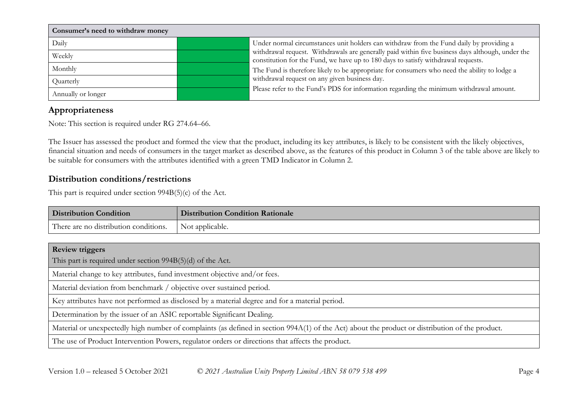| Consumer's need to withdraw money |                                                                                              |                                                                                                  |  |
|-----------------------------------|----------------------------------------------------------------------------------------------|--------------------------------------------------------------------------------------------------|--|
| Daily                             | Under normal circumstances unit holders can withdraw from the Fund daily by providing a      |                                                                                                  |  |
| Weekly                            | constitution for the Fund, we have up to 180 days to satisfy withdrawal requests.            | withdrawal request. Withdrawals are generally paid within five business days although, under the |  |
| Monthly                           | The Fund is therefore likely to be appropriate for consumers who need the ability to lodge a |                                                                                                  |  |
| Quarterly                         | withdrawal request on any given business day.                                                |                                                                                                  |  |
| Annually or longer                | Please refer to the Fund's PDS for information regarding the minimum withdrawal amount.      |                                                                                                  |  |

## **Appropriateness**

Note: This section is required under RG 274.64–66.

The Issuer has assessed the product and formed the view that the product, including its key attributes, is likely to be consistent with the likely objectives, financial situation and needs of consumers in the target market as described above, as the features of this product in Column 3 of the table above are likely to be suitable for consumers with the attributes identified with a green TMD Indicator in Column 2.

## **Distribution conditions/restrictions**

This part is required under section 994B(5)(c) of the Act.

| <b>Distribution Condition</b>                           | <b>Distribution Condition Rationale</b> |
|---------------------------------------------------------|-----------------------------------------|
| There are no distribution conditions.   Not applicable. |                                         |
|                                                         |                                         |

| <b>Review triggers</b>                                                                                                                          |
|-------------------------------------------------------------------------------------------------------------------------------------------------|
| This part is required under section $994B(5)(d)$ of the Act.                                                                                    |
| Material change to key attributes, fund investment objective and/or fees.                                                                       |
| Material deviation from benchmark / objective over sustained period.                                                                            |
| Key attributes have not performed as disclosed by a material degree and for a material period.                                                  |
| Determination by the issuer of an ASIC reportable Significant Dealing.                                                                          |
| Material or unexpectedly high number of complaints (as defined in section 994A(1) of the Act) about the product or distribution of the product. |
| The use of Product Intervention Powers, regulator orders or directions that affects the product.                                                |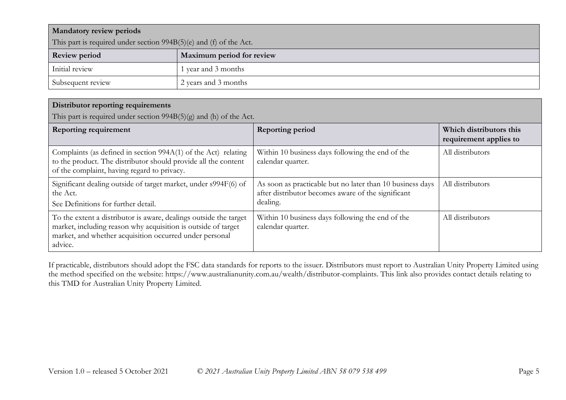| <b>Mandatory review periods</b>                                      |                           |  |
|----------------------------------------------------------------------|---------------------------|--|
| This part is required under section $994B(5)(e)$ and (f) of the Act. |                           |  |
| <b>Review period</b>                                                 | Maximum period for review |  |
| Initial review                                                       | l year and 3 months       |  |
| Subsequent review                                                    | 2 years and 3 months      |  |

#### **Distributor reporting requirements**

This part is required under section 994B(5)(g) and (h) of the Act.

| <b>Reporting requirement</b>                                                                                                                                                                             | <b>Reporting period</b>                                                                                                     | Which distributors this<br>requirement applies to |
|----------------------------------------------------------------------------------------------------------------------------------------------------------------------------------------------------------|-----------------------------------------------------------------------------------------------------------------------------|---------------------------------------------------|
| Complaints (as defined in section 994A(1) of the Act) relating<br>to the product. The distributor should provide all the content<br>of the complaint, having regard to privacy.                          | Within 10 business days following the end of the<br>calendar quarter.                                                       | All distributors                                  |
| Significant dealing outside of target market, under s994F(6) of<br>the Act.<br>See Definitions for further detail.                                                                                       | As soon as practicable but no later than 10 business days<br>after distributor becomes aware of the significant<br>dealing. | All distributors                                  |
| To the extent a distributor is aware, dealings outside the target<br>market, including reason why acquisition is outside of target<br>market, and whether acquisition occurred under personal<br>advice. | Within 10 business days following the end of the<br>calendar quarter.                                                       | All distributors                                  |

If practicable, distributors should adopt the FSC data standards for reports to the issuer. Distributors must report to Australian Unity Property Limited using the method specified on the website: https://www.australianunity.com.au/wealth/distributor-complaints. This link also provides contact details relating to this TMD for Australian Unity Property Limited.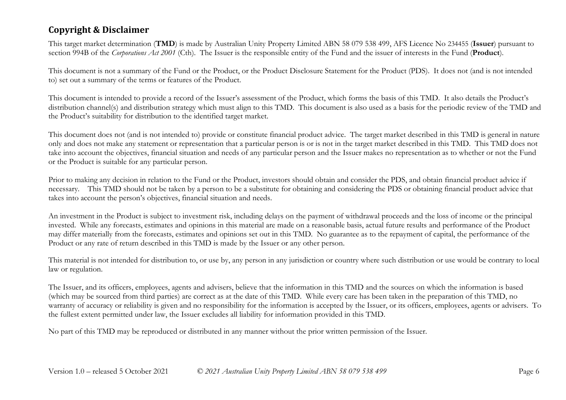## **Copyright & Disclaimer**

This target market determination (**TMD**) is made by Australian Unity Property Limited ABN 58 079 538 499, AFS Licence No 234455 (**Issuer**) pursuant to section 994B of the *Corporations Act 2001* (Cth). The Issuer is the responsible entity of the Fund and the issuer of interests in the Fund (**Product**).

This document is not a summary of the Fund or the Product, or the Product Disclosure Statement for the Product (PDS). It does not (and is not intended to) set out a summary of the terms or features of the Product.

This document is intended to provide a record of the Issuer's assessment of the Product, which forms the basis of this TMD. It also details the Product's distribution channel(s) and distribution strategy which must align to this TMD. This document is also used as a basis for the periodic review of the TMD and the Product's suitability for distribution to the identified target market.

This document does not (and is not intended to) provide or constitute financial product advice. The target market described in this TMD is general in nature only and does not make any statement or representation that a particular person is or is not in the target market described in this TMD. This TMD does not take into account the objectives, financial situation and needs of any particular person and the Issuer makes no representation as to whether or not the Fund or the Product is suitable for any particular person.

Prior to making any decision in relation to the Fund or the Product, investors should obtain and consider the PDS, and obtain financial product advice if necessary. This TMD should not be taken by a person to be a substitute for obtaining and considering the PDS or obtaining financial product advice that takes into account the person's objectives, financial situation and needs.

An investment in the Product is subject to investment risk, including delays on the payment of withdrawal proceeds and the loss of income or the principal invested. While any forecasts, estimates and opinions in this material are made on a reasonable basis, actual future results and performance of the Product may differ materially from the forecasts, estimates and opinions set out in this TMD. No guarantee as to the repayment of capital, the performance of the Product or any rate of return described in this TMD is made by the Issuer or any other person.

This material is not intended for distribution to, or use by, any person in any jurisdiction or country where such distribution or use would be contrary to local law or regulation.

The Issuer, and its officers, employees, agents and advisers, believe that the information in this TMD and the sources on which the information is based (which may be sourced from third parties) are correct as at the date of this TMD. While every care has been taken in the preparation of this TMD, no warranty of accuracy or reliability is given and no responsibility for the information is accepted by the Issuer, or its officers, employees, agents or advisers. To the fullest extent permitted under law, the Issuer excludes all liability for information provided in this TMD.

No part of this TMD may be reproduced or distributed in any manner without the prior written permission of the Issuer.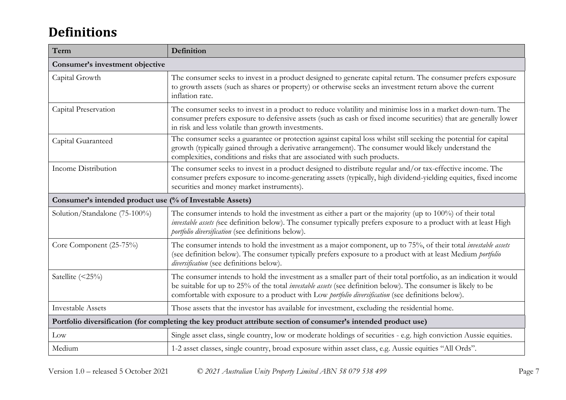# **Definitions**

| Term                                                                                                            | Definition                                                                                                                                                                                                                                                                                                                                      |  |
|-----------------------------------------------------------------------------------------------------------------|-------------------------------------------------------------------------------------------------------------------------------------------------------------------------------------------------------------------------------------------------------------------------------------------------------------------------------------------------|--|
| Consumer's investment objective                                                                                 |                                                                                                                                                                                                                                                                                                                                                 |  |
| Capital Growth                                                                                                  | The consumer seeks to invest in a product designed to generate capital return. The consumer prefers exposure<br>to growth assets (such as shares or property) or otherwise seeks an investment return above the current<br>inflation rate.                                                                                                      |  |
| Capital Preservation                                                                                            | The consumer seeks to invest in a product to reduce volatility and minimise loss in a market down-turn. The<br>consumer prefers exposure to defensive assets (such as cash or fixed income securities) that are generally lower<br>in risk and less volatile than growth investments.                                                           |  |
| Capital Guaranteed                                                                                              | The consumer seeks a guarantee or protection against capital loss whilst still seeking the potential for capital<br>growth (typically gained through a derivative arrangement). The consumer would likely understand the<br>complexities, conditions and risks that are associated with such products.                                          |  |
| Income Distribution                                                                                             | The consumer seeks to invest in a product designed to distribute regular and/or tax-effective income. The<br>consumer prefers exposure to income-generating assets (typically, high dividend-yielding equities, fixed income<br>securities and money market instruments).                                                                       |  |
| Consumer's intended product use (% of Investable Assets)                                                        |                                                                                                                                                                                                                                                                                                                                                 |  |
| Solution/Standalone (75-100%)                                                                                   | The consumer intends to hold the investment as either a part or the majority (up to 100%) of their total<br>investable assets (see definition below). The consumer typically prefers exposure to a product with at least High<br>portfolio diversification (see definitions below).                                                             |  |
| Core Component (25-75%)                                                                                         | The consumer intends to hold the investment as a major component, up to 75%, of their total <i>investable assets</i><br>(see definition below). The consumer typically prefers exposure to a product with at least Medium portfolio<br>diversification (see definitions below).                                                                 |  |
| Satellite (<25%)                                                                                                | The consumer intends to hold the investment as a smaller part of their total portfolio, as an indication it would<br>be suitable for up to 25% of the total <i>investable assets</i> (see definition below). The consumer is likely to be<br>comfortable with exposure to a product with Low portfolio diversification (see definitions below). |  |
| <b>Investable Assets</b>                                                                                        | Those assets that the investor has available for investment, excluding the residential home.                                                                                                                                                                                                                                                    |  |
| Portfolio diversification (for completing the key product attribute section of consumer's intended product use) |                                                                                                                                                                                                                                                                                                                                                 |  |
| Low                                                                                                             | Single asset class, single country, low or moderate holdings of securities - e.g. high conviction Aussie equities.                                                                                                                                                                                                                              |  |
| Medium                                                                                                          | 1-2 asset classes, single country, broad exposure within asset class, e.g. Aussie equities "All Ords".                                                                                                                                                                                                                                          |  |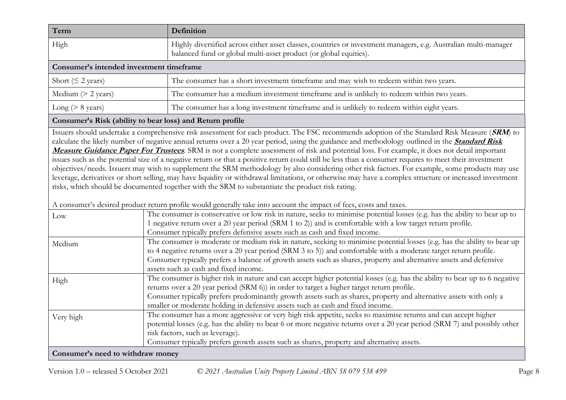| Term                                     | Definition                                                                                                                                                                           |  |
|------------------------------------------|--------------------------------------------------------------------------------------------------------------------------------------------------------------------------------------|--|
| High                                     | Highly diversified across either asset classes, countries or investment managers, e.g. Australian multi-manager<br>balanced fund or global multi-asset product (or global equities). |  |
| Consumer's intended investment timeframe |                                                                                                                                                                                      |  |
| Short ( $\leq$ 2 years)                  | The consumer has a short investment timeframe and may wish to redeem within two years.                                                                                               |  |
| Medium $(> 2 \text{ years})$             | The consumer has a medium investment timeframe and is unlikely to redeem within two years.                                                                                           |  |
| Long ( $> 8$ years)                      | The consumer has a long investment timeframe and is unlikely to redeem within eight years.                                                                                           |  |

#### **Consumer's Risk (ability to bear loss) and Return profile**

Issuers should undertake a comprehensive risk assessment for each product. The FSC recommends adoption of the Standard Risk Measure (**SRM**) to calculate the likely number of negative annual returns over a 20 year period, using the guidance and methodology outlined in the **[Standard Risk](https://protect-eu.mimecast.com/s/pqPaCwVNmtGRQpvMFVpVgu?domain=urldefense.com)  [Measure Guidance Paper For Trustees](https://protect-eu.mimecast.com/s/pqPaCwVNmtGRQpvMFVpVgu?domain=urldefense.com)**. SRM is not a complete assessment of risk and potential loss. For example, it does not detail important issues such as the potential size of a negative return or that a positive return could still be less than a consumer requires to meet their investment objectives/needs. Issuers may wish to supplement the SRM methodology by also considering other risk factors. For example, some products may use leverage, derivatives or short selling, may have liquidity or withdrawal limitations, or otherwise may have a complex structure or increased investment risks, which should be documented together with the SRM to substantiate the product risk rating.

A consumer's desired product return profile would generally take into account the impact of fees, costs and taxes.

| Low                               | The consumer is conservative or low risk in nature, seeks to minimise potential losses (e.g. has the ability to bear up to  |
|-----------------------------------|-----------------------------------------------------------------------------------------------------------------------------|
|                                   | 1 negative return over a 20 year period (SRM 1 to 2)) and is comfortable with a low target return profile.                  |
|                                   | Consumer typically prefers defensive assets such as cash and fixed income.                                                  |
| Medium                            | The consumer is moderate or medium risk in nature, seeking to minimise potential losses (e.g. has the ability to bear up    |
|                                   | to 4 negative returns over a 20 year period (SRM 3 to 5)) and comfortable with a moderate target return profile.            |
|                                   | Consumer typically prefers a balance of growth assets such as shares, property and alternative assets and defensive         |
|                                   | assets such as cash and fixed income.                                                                                       |
| High                              | The consumer is higher risk in nature and can accept higher potential losses (e.g. has the ability to bear up to 6 negative |
|                                   | returns over a 20 year period (SRM 6)) in order to target a higher target return profile.                                   |
|                                   | Consumer typically prefers predominantly growth assets such as shares, property and alternative assets with only a          |
|                                   | smaller or moderate holding in defensive assets such as cash and fixed income.                                              |
| Very high                         | The consumer has a more aggressive or very high risk appetite, seeks to maximise returns and can accept higher              |
|                                   | potential losses (e.g. has the ability to bear 6 or more negative returns over a 20 year period (SRM 7) and possibly other  |
|                                   | risk factors, such as leverage).                                                                                            |
|                                   | Consumer typically prefers growth assets such as shares, property and alternative assets.                                   |
| Consumer's need to withdraw money |                                                                                                                             |